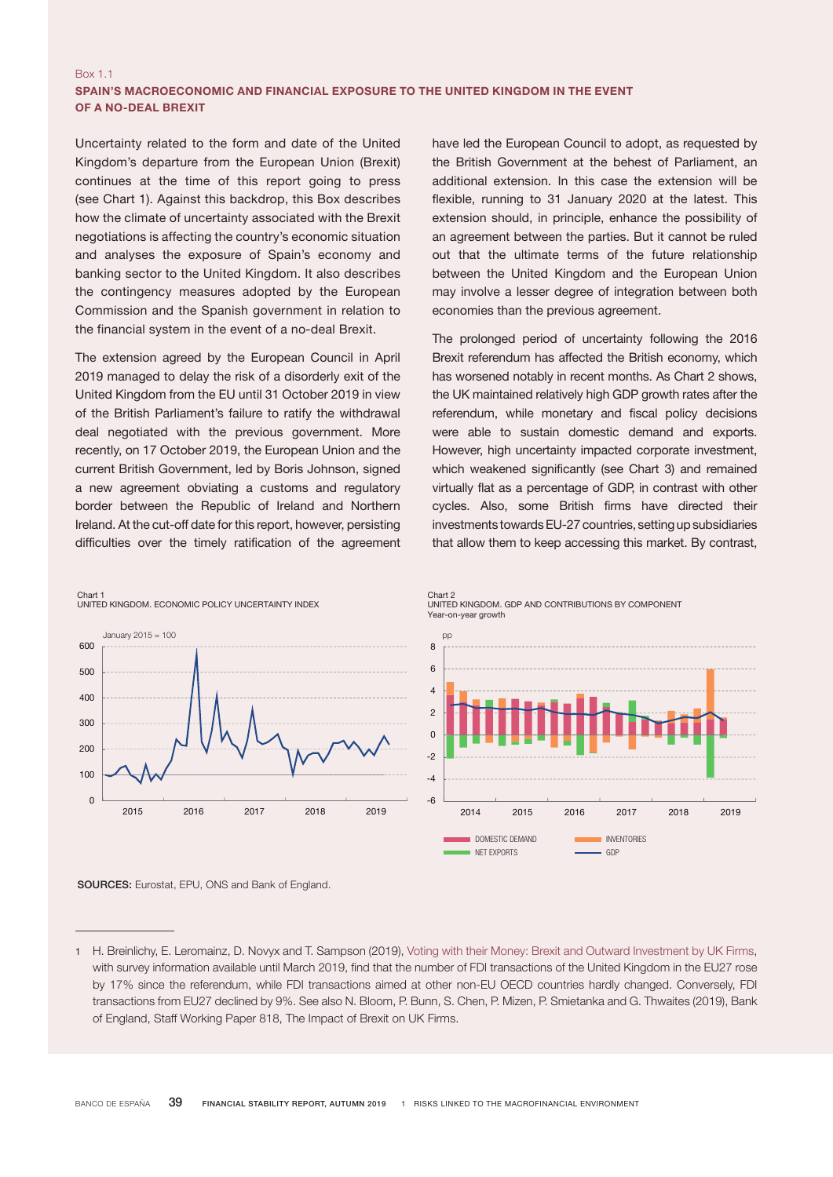## Box 1.1 SPAIN'S MACROECONOMIC AND FINANCIAL EXPOSURE TO THE UNITED KINGDOM IN THE EVENT OF A NO-DEAL BREXIT

Uncertainty related to the form and date of the United Kingdom's departure from the European Union (Brexit) continues at the time of this report going to press (see Chart 1). Against this backdrop, this Box describes how the climate of uncertainty associated with the Brexit negotiations is affecting the country's economic situation and analyses the exposure of Spain's economy and banking sector to the United Kingdom. It also describes the contingency measures adopted by the European Commission and the Spanish government in relation to the financial system in the event of a no-deal Brexit.

The extension agreed by the European Council in April 2019 managed to delay the risk of a disorderly exit of the United Kingdom from the EU until 31 October 2019 in view of the British Parliament's failure to ratify the withdrawal deal negotiated with the previous government. More recently, on 17 October 2019, the European Union and the current British Government, led by Boris Johnson, signed a new agreement obviating a customs and regulatory border between the Republic of Ireland and Northern Ireland. At the cut-off date for this report, however, persisting difficulties over the timely ratification of the agreement

have led the European Council to adopt, as requested by the British Government at the behest of Parliament, an additional extension. In this case the extension will be flexible, running to 31 January 2020 at the latest. This extension should, in principle, enhance the possibility of an agreement between the parties. But it cannot be ruled out that the ultimate terms of the future relationship between the United Kingdom and the European Union may involve a lesser degree of integration between both economies than the previous agreement.

The prolonged period of uncertainty following the 2016 Brexit referendum has affected the British economy, which 6 has worsened notably in recent months. As Chart 2 shows, the UK maintained relatively high GDP growth rates after the 2 referendum, while monetary and fiscal policy decisions were able to sustain domestic demand and exports. However, high uncertainty impacted corporate investment, which weakened significantly (see Chart 3) and remained virtually flat as a percentage of GDP, in contrast with other cycles. Also, some British firms have directed their investments towards EU-27 countries, setting up subsidiaries that allow them to keep accessing this market. By contrast,



Chart 2 UNITED KINGDOM. GDP AND CONTRIBUTIONS BY COMPONENT Year-on-year growth Chart 2<br>UNITED KINGDOM, GDP AND CONTRIBUTIONS BY COMPONENT



Maximum GDP = 100

Chart 1

SOURCES: Eurostat, EPU, ONS and Bank of England.

of England, Staff Working Paper 818, The Impact of Brexit on UK Firms. 140 with survey information available until March 2019, find that the number of FDI transactions of the United Kingdom in the EU27 rose 1 H. Breinlichy, E. Leromainz, D. Novyx and T. Sampson (2019), [Voting with their Money:](http://cep.lse.ac.uk/pubs/download/brexit13.pdf) [Brexit and Outward Investment by UK Firms](http://cep.lse.ac.uk/pubs/download/brexit13.pdf), 3 transactions from EU27 declined by 9%. See also N. Bloom, P. Bunn, S. Chen, P. Mizen, P. Smietanka and G. Thwaites (2019), Bank by 17% since the referendum, while FDI transactions aimed at other non-EU OECD countries hardly changed. Conversely, FDI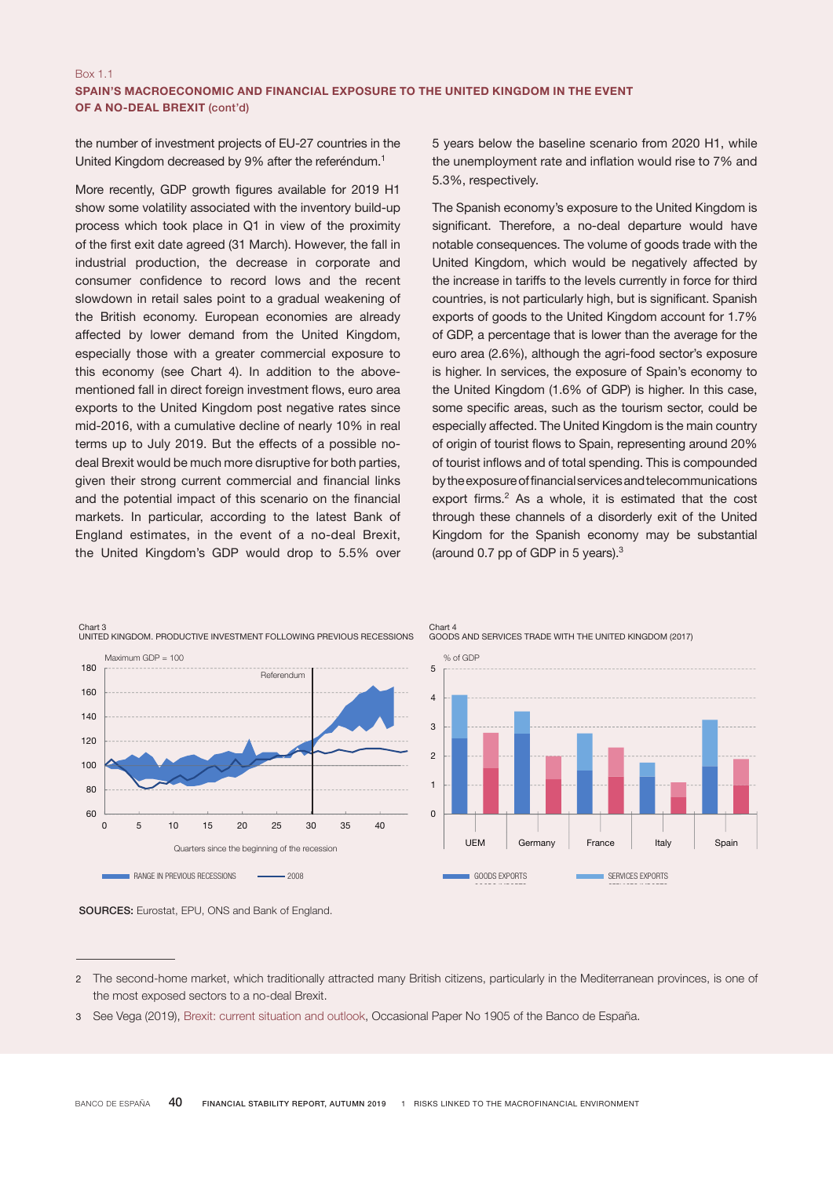the number of investment projects of EU-27 countries in the United Kingdom decreased by 9% after the referéndum.1

More recently, GDP growth figures available for 2019 H1 show some volatility associated with the inventory build-up process which took place in Q1 in view of the proximity of the first exit date agreed (31 March). However, the fall in industrial production, the decrease in corporate and consumer confidence to record lows and the recent slowdown in retail sales point to a gradual weakening of the British economy. European economies are already affected by lower demand from the United Kingdom, especially those with a greater commercial exposure to this economy (see Chart 4). In addition to the abovementioned fall in direct foreign investment flows, euro area exports to the United Kingdom post negative rates since mid-2016, with a cumulative decline of nearly 10% in real terms up to July 2019. But the effects of a possible nodeal Brexit would be much more disruptive for both parties, given their strong current commercial and financial links and the potential impact of this scenario on the financial markets. In particular, according to the latest Bank of England estimates, in the event of a no-deal Brexit, the United Kingdom's GDP would drop to 5.5% over

5 years below the baseline scenario from 2020 H1, while the unemployment rate and inflation would rise to 7% and 5.3%, respectively.

The Spanish economy's exposure to the United Kingdom is significant. Therefore, a no-deal departure would have notable consequences. The volume of goods trade with the United Kingdom, which would be negatively affected by the increase in tariffs to the levels currently in force for third countries, is not particularly high, but is significant. Spanish exports of goods to the United Kingdom account for 1.7% of GDP, a percentage that is lower than the average for the euro area (2.6%), although the agri-food sector's exposure is higher. In services, the exposure of Spain's economy to the United Kingdom (1.6% of GDP) is higher. In this case, some specific areas, such as the tourism sector, could be especially affected. The United Kingdom is the main country of origin of tourist flows to Spain, representing around 20% 2 of tourist inflows and of total spending. This is compounded 0 by the exposure of financial services and telecommunications export firms. $2$  As a whole, it is estimated that the cost through these channels of a disorderly exit of the United Kingdom for the Spanish economy may be substantial (around 0.7 pp of GDP in 5 years). $3$ e<br>Iom for the Spanish economy may be substan  $\overline{\phantom{0}}$ pp

DOMESTIC DEMAND INVENTORIES





<sup>2</sup> The second-home market, which traditionally attracted many British citizens, particularly in the Mediterranean provinces, is one of the most exposed sectors to a no-deal Brexit.

<sup>3</sup> See Vega (2019), [Brexit: current situation and outlook](https://www.bde.es/f/webbde/SES/Secciones/Publicaciones/PublicacionesSeriadas/DocumentosOcasionales/19/Files/do1905e.pdf), Occasional Paper No 1905 of the Banco de España.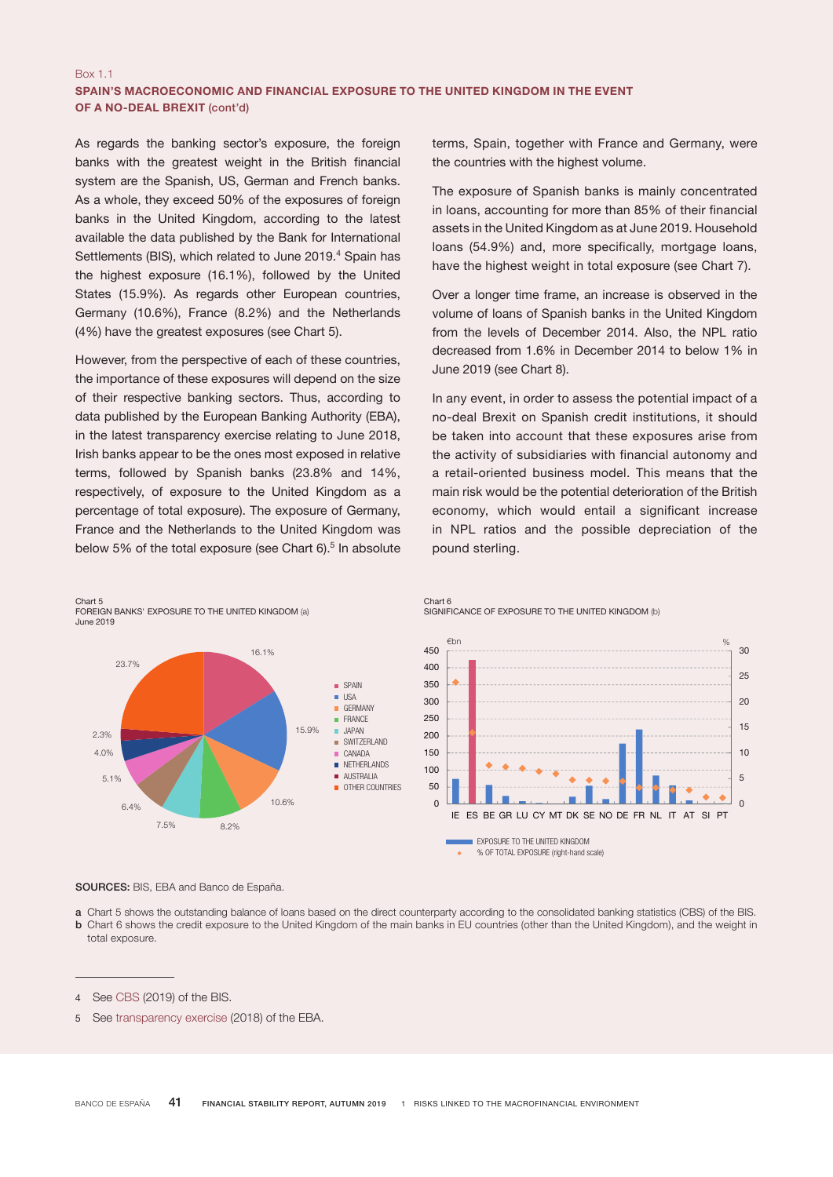## Box 1.1 SPAIN'S MACROECONOMIC AND FINANCIAL EXPOSURE TO THE UNITED KINGDOM IN THE EVENT OF A NO-DEAL BREXIT (cont'd)

As regards the banking sector's exposure, the foreign banks with the greatest weight in the British financial system are the Spanish, US, German and French banks. As a whole, they exceed 50% of the exposures of foreign banks in the United Kingdom, according to the latest available the data published by the Bank for International Settlements (BIS), which related to June 2019.<sup>4</sup> Spain has the highest exposure (16.1%), followed by the United States (15.9%). As regards other European countries, Germany (10.6%), France (8.2%) and the Netherlands (4%) have the greatest exposures (see Chart 5).

However, from the perspective of each of these countries, the importance of these exposures will depend on the size of their respective banking sectors. Thus, according to data published by the European Banking Authority (EBA), in the latest transparency exercise relating to June 2018, Irish banks appear to be the ones most exposed in relative terms, followed by Spanish banks (23.8% and 14%, respectively, of exposure to the United Kingdom as a percentage of total exposure). The exposure of Germany, France and the Netherlands to the United Kingdom was below 5% of the total exposure (see Chart  $6$ ).<sup>5</sup> In absolute er, m rity (  $G \cup G$ and I

Chart 5 FOREIGN BANKS' EXPOSURE TO THE UNITED KINGDOM (a) SPANISH BANKS' EXPOSURE TO THE UNITED KINGDOM June 2019 June 2019



10.6%

terms, Spain, together with France and Germany, were the countries with the highest volume.

The exposure of Spanish banks is mainly concentrated in loans, accounting for more than 85% of their financial assets in the United Kingdom as at June 2019. Household loans (54.9%) and, more specifically, mortgage loans, have the highest weight in total exposure (see Chart 7).

Over a longer time frame, an increase is observed in the volume of loans of Spanish banks in the United Kingdom from the levels of December 2014. Also, the NPL ratio decreased from 1.6% in December 2014 to below 1% in June 2019 (see Chart 8).

In any event, in order to assess the potential impact of a no-deal Brexit on Spanish credit institutions, it should be taken into account that these exposures arise from the activity of subsidiaries with financial autonomy and a retail-oriented business model. This means that the main risk would be the potential deterioration of the British economy, which would entail a significant increase in NPL ratios and the possible depreciation of the pound sterling.  $m$ orny, which would entail a significant incl  $\mathsf{S}\mathsf{I}\mathsf{E}\mathsf{I}\mathsf{III}\mathsf{I}\mathsf{G}\mathsf{I}$ 



Chart 6 Chart 8 SIGNIFICANCE OF EXPOSURE TO THE UNITED KINGDOM (b)

SOURCES: BIS, EBA and Banco de España.

7.5% 8.2%

a Chart 5 shows the outstanding balance of loans based on the direct counterparty according to the consolidated banking statistics (CBS) of the BIS. b Chart 6 shows the credit exposure to the United Kingdom of the main banks in EU countries (other than the United Kingdom), and the weight in total exposure.

6.4%

OTHER COUNTRIES

<sup>4</sup> See [CBS](https://www.bis.org/statistics/consstats.htm?m=6%7C31%7C70) (2019) of the BIS.

<sup>5</sup> See [transparency exercise](https://eba.europa.eu/risk-analysis-and-data/eu-wide-transparency-exercise/2018/results) (2018) of the EBA.